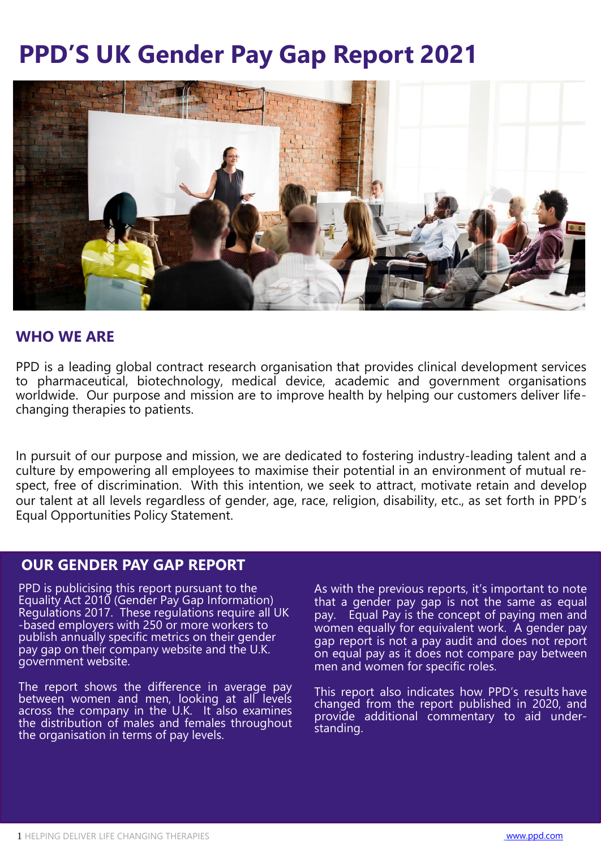# **PPD'S UK Gender Pay Gap Report 2021**



## **WHO WE ARE**

PPD is a leading global contract research organisation that provides clinical development services to pharmaceutical, biotechnology, medical device, academic and government organisations worldwide. Our purpose and mission are to improve health by helping our customers deliver lifechanging therapies to patients.

In pursuit of our purpose and mission, we are dedicated to fostering industry-leading talent and a culture by empowering all employees to maximise their potential in an environment of mutual respect, free of discrimination. With this intention, we seek to attract, motivate retain and develop our talent at all levels regardless of gender, age, race, religion, disability, etc., as set forth in PPD's Equal Opportunities Policy Statement.

## **OUR GENDER PAY GAP REPORT**

PPD is publicising this report pursuant to the Equality Act 2010 (Gender Pay Gap Information) Regulations 2017. These regulations require all UK -based employers with 250 or more workers to publish annually specific metrics on their gender pay gap on their company website and the U.K. government website.

The report shows the difference in average pay between women and men, looking at all levels across the company in the U.K. It also examines the distribution of males and females throughout the organisation in terms of pay levels.

As with the previous reports, it's important to note that a gender pay gap is not the same as equal pay. Equal Pay is the concept of paying men and women equally for equivalent work. A gender pay gap report is not a pay audit and does not report on equal pay as it does not compare pay between men and women for specific roles.

This report also indicates how PPD's results have changed from the report published in 2020, and provide additional commentary to aid understanding.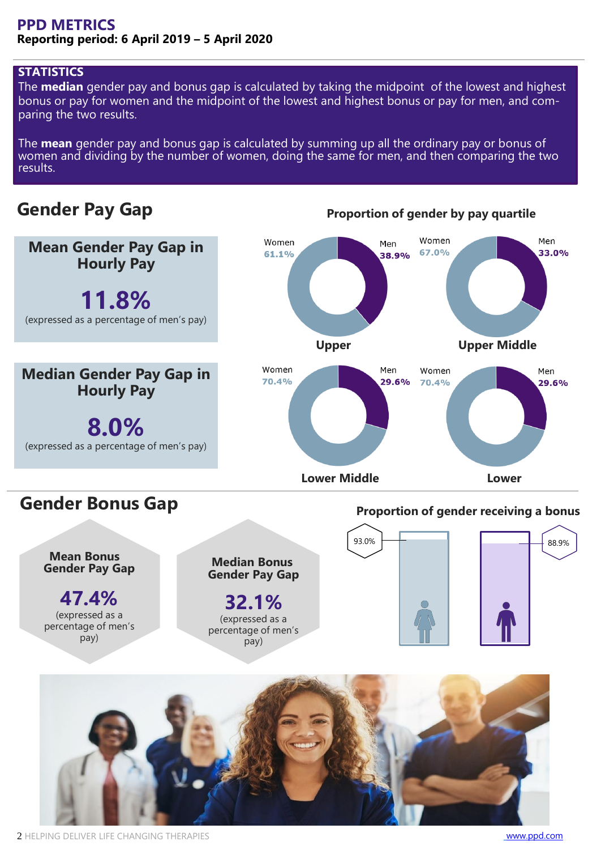## **PPD METRICS Reporting period: 6 April 2019 – 5 April 2020**

## **STATISTICS**

The **median** gender pay and bonus gap is calculated by taking the midpoint of the lowest and highest bonus or pay for women and the midpoint of the lowest and highest bonus or pay for men, and comparing the two results.

The **mean** gender pay and bonus gap is calculated by summing up all the ordinary pay or bonus of women and dividing by the number of women, doing the same for men, and then comparing the two results.

# **Gender Pay Gap**



**Proportion of gender by pay quartile**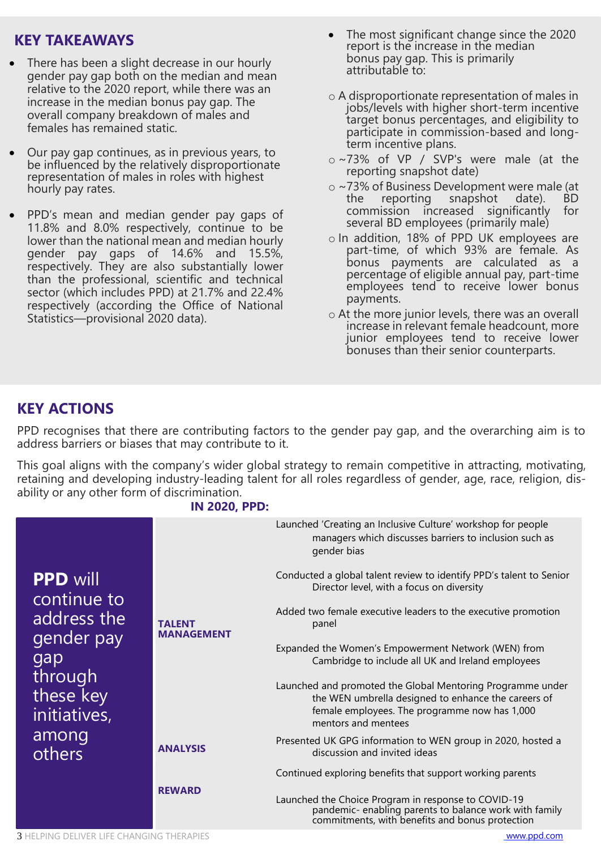# **KEY TAKEAWAYS**

- There has been a slight decrease in our hourly gender pay gap both on the median and mean relative to the 2020 report, while there was an increase in the median bonus pay gap. The overall company breakdown of males and females has remained static.
- Our pay gap continues, as in previous years, to be influenced by the relatively disproportionate representation of males in roles with highest hourly pay rates.
- PPD's mean and median gender pay gaps of 11.8% and 8.0% respectively, continue to be lower than the national mean and median hourly gender pay gaps of 14.6% and 15.5%, respectively. They are also substantially lower than the professional, scientific and technical sector (which includes PPD) at 21.7% and 22.4% respectively (according the Office of National Statistics—provisional 2020 data).
- The most significant change since the 2020 report is the increase in the median bonus pay gap. This is primarily attributable to:
- o A disproportionate representation of males in jobs/levels with higher short-term incentive target bonus percentages, and eligibility to participate in commission-based and longterm incentive plans.
- o ~73% of VP / SVP's were male (at the reporting snapshot date)
- o ~73% of Business Development were male (at the reporting snapshot date). BD commission increased significantly for several BD employees (primarily male)
- o In addition, 18% of PPD UK employees are part-time, of which 93% are female. As bonus payments are calculated as a percentage of eligible annual pay, part-time employees tend to receive lower bonus payments.
- o At the more junior levels, there was an overall increase in relevant female headcount, more junior employees tend to receive lower bonuses than their senior counterparts.

# **KEY ACTIONS**

PPD recognises that there are contributing factors to the gender pay gap, and the overarching aim is to address barriers or biases that may contribute to it.

This goal aligns with the company's wider global strategy to remain competitive in attracting, motivating, retaining and developing industry-leading talent for all roles regardless of gender, age, race, religion, disability or any other form of discrimination.

### **IN 2020, PPD:**

|                                                                                                                               |                                    | Launched 'Creating an Inclusive Culture' workshop for people<br>managers which discusses barriers to inclusion such as<br>gender bias                                                     |
|-------------------------------------------------------------------------------------------------------------------------------|------------------------------------|-------------------------------------------------------------------------------------------------------------------------------------------------------------------------------------------|
| <b>PPD will</b><br>continue to<br>address the<br>gender pay<br>gap<br>through<br>these key<br>initiatives,<br>among<br>others | <b>TALENT</b><br><b>MANAGEMENT</b> | Conducted a global talent review to identify PPD's talent to Senior<br>Director level, with a focus on diversity                                                                          |
|                                                                                                                               |                                    | Added two female executive leaders to the executive promotion<br>panel                                                                                                                    |
|                                                                                                                               |                                    | Expanded the Women's Empowerment Network (WEN) from<br>Cambridge to include all UK and Ireland employees                                                                                  |
|                                                                                                                               |                                    | Launched and promoted the Global Mentoring Programme under<br>the WEN umbrella designed to enhance the careers of<br>female employees. The programme now has 1,000<br>mentors and mentees |
|                                                                                                                               | <b>ANALYSIS</b>                    | Presented UK GPG information to WEN group in 2020, hosted a<br>discussion and invited ideas                                                                                               |
|                                                                                                                               |                                    | Continued exploring benefits that support working parents                                                                                                                                 |
|                                                                                                                               | <b>REWARD</b>                      | Launched the Choice Program in response to COVID-19<br>pandemic-enabling parents to balance work with family<br>commitments, with benefits and bonus protection                           |

3 HELPING DELIVER LIFE CHANGING THERAPIES [www.ppd.com](http://www.ppd.com/)